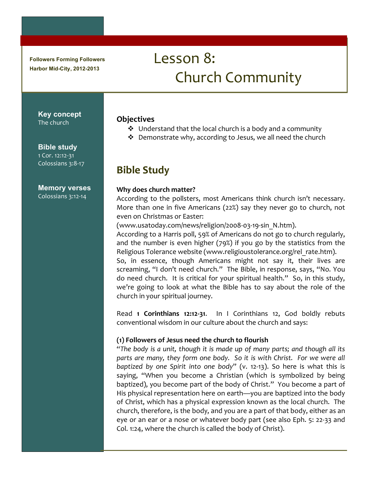**Followers Forming Followers Harbor Mid-City, 2012-2013**

# Lesson 8: Church\$Community

**Key concept** The church

#### **Bible study**

1 Cor. 12:12-31 Colossians 3:8-17

#### **Memory verses**

Colossians 3:12-14

#### **Objectives**

- $\cdot$  Understand that the local church is a body and a community
- $\cdot$  Demonstrate why, according to Jesus, we all need the church

## **Bible Study**

#### Why does church matter?

According to the pollsters, most Americans think church isn't necessary. More than one in five Americans (22%) say they never go to church, not even on Christmas or Easter:

(www.usatoday.com/news/religion/2008.03.19.sin\_N.htm).

According to a Harris poll, 59% of Americans do not go to church regularly, and the number is even higher (79%) if you go by the statistics from the Religious Tolerance website (www.religioustolerance.org/rel\_rate.htm).

So, in essence, though Americans might not say it, their lives are screaming, "I don't need church." The Bible, in response, says, "No. You do need church. It is critical for your spiritual health." So, in this study, we're going to look at what the Bible has to say about the role of the church in your spiritual journey.

Read\$ **1! Corinthians! 12:12=31**.\$ \$ In\$ I\$ Corinthians\$ 12,\$ God\$ boldly\$ rebuts\$ conventional wisdom in our culture about the church and says:

#### **(1)!Followers!of!Jesus!need!the!church!to!flourish**

"The body is a unit, though it is made up of many parts; and though all its *parts are many, they form one body.* So it is with Christ. For we were all *baptized by one Spirit into one body*" (v. 12-13). So here is what this is saying, "When you become a Christian (which is symbolized by being baptized), you become part of the body of Christ." You become a part of His physical representation here on earth—you are baptized into the body of Christ, which has a physical expression known as the local church. The church, therefore, is the body, and you are a part of that body, either as an eye or an ear or a nose or whatever body part (see also Eph. 5: 22-33 and Col. 1:24, where the church is called the body of Christ).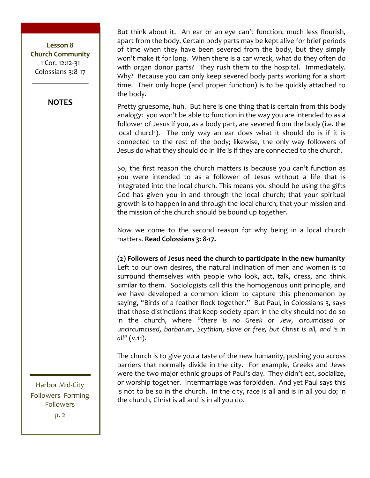Lesson 8 **Church!Community** 1 Cor. 12:12-31 Colossians 3:8-17

 $\frac{1}{2}$ 

#### **NOTES**

But think about it. An ear or an eye can't function, much less flourish, apart from the body. Certain body parts may be kept alive for brief periods of time when they have been severed from the body, but they simply won't make it for long. When there is a car wreck, what do they often do with organ donor parts? They rush them to the hospital. Immediately. Why? Because you can only keep severed body parts working for a short time. Their only hope (and proper function) is to be quickly attached to the body.

Pretty gruesome, huh. But here is one thing that is certain from this body analogy: you won't be able to function in the way you are intended to as a follower of Jesus if you, as a body part, are severed from the body (i.e. the local church). The only way an ear does what it should do is if it is connected to the rest of the body; likewise, the only way followers of Jesus do what they should do in life is if they are connected to the church.

So, the first reason the church matters is because you can't function as you were intended to as a follower of Jesus without a life that is integrated into the local church. This means you should be using the gifts God has given you in and through the local church; that your spiritual growth is to happen in and through the local church; that your mission and the mission of the church should be bound up together.

Now we come to the second reason for why being in a local church matters. **Read Colossians 3: 8-17.** 

(2) Followers of Jesus need the church to participate in the new humanity Left to our own desires, the natural inclination of men and women is to surround themselves with people who look, act, talk, dress, and think similar to them. Sociologists call this the homogenous unit principle, and we have developed a common idiom to capture this phenomenon by saying, "Birds of a feather flock together." But Paul, in Colossians 3, says that those distinctions that keep society apart in the city should not do so in the church, where "there is no Greek or Jew, circumcised or *uncircumcised, barbarian, Scythian, slave or free, but Christ is all, and is in all"\$*(v.11).*\$\$*

The church is to give you a taste of the new humanity, pushing you across barriers that normally divide in the city. For example, Greeks and Jews were the two major ethnic groups of Paul's day. They didn't eat, socialize, or worship together. Intermarriage was forbidden. And yet Paul says this is not to be so in the church. In the city, race is all and is in all you do; in the church, Christ is all and is in all you do.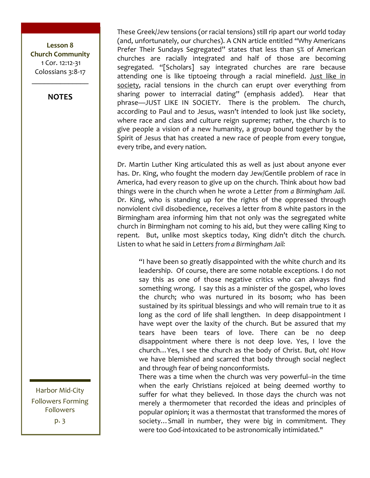Lesson 8 **Church Community** 1 Cor. 12:12-31 Colossians 3:8-17

**NOTES** 

These Greek/Jew tensions (or racial tensions) still rip apart our world today (and, unfortunately, our churches). A CNN article entitled "Why Americans Prefer Their Sundays Segregated" states that less than 5% of American churches are racially integrated and half of those are becoming segregated. "[Scholars] say integrated churches are rare because attending one is like tiptoeing through a racial minefield. Just like in society, racial tensions in the church can erupt over everything from sharing power to interracial dating" (emphasis added). Hear that phrase-JUST LIKE IN SOCIETY. There is the problem. The church, according to Paul and to Jesus, wasn't intended to look just like society, where race and class and culture reign supreme; rather, the church is to give people a vision of a new humanity, a group bound together by the Spirit of Jesus that has created a new race of people from every tongue, every tribe, and every nation.

Dr. Martin Luther King articulated this as well as just about anyone ever has. Dr. King, who fought the modern day Jew/Gentile problem of race in America, had every reason to give up on the church. Think about how bad things were in the church when he wrote a Letter from a Birmingham Jail. Dr. King, who is standing up for the rights of the oppressed through nonviolent civil disobedience, receives a letter from 8 white pastors in the Birmingham area informing him that not only was the segregated white church in Birmingham not coming to his aid, but they were calling King to repent. But, unlike most skeptics today, King didn't ditch the church. Listen to what he said in Letters from a Birmingham Jail:

"I have been so greatly disappointed with the white church and its leadership. Of course, there are some notable exceptions. I do not say this as one of those negative critics who can always find something wrong. I say this as a minister of the gospel, who loves the church; who was nurtured in its bosom; who has been sustained by its spiritual blessings and who will remain true to it as long as the cord of life shall lengthen. In deep disappointment I have wept over the laxity of the church. But be assured that my tears have been tears of love. There can be no deep disappointment where there is not deep love. Yes, I love the church... Yes, I see the church as the body of Christ. But, oh! How we have blemished and scarred that body through social neglect and through fear of being nonconformists.

There was a time when the church was very powerful-in the time when the early Christians rejoiced at being deemed worthy to suffer for what they believed. In those days the church was not merely a thermometer that recorded the ideas and principles of popular opinion; it was a thermostat that transformed the mores of society... Small in number, they were big in commitment. They were too God-intoxicated to be astronomically intimidated."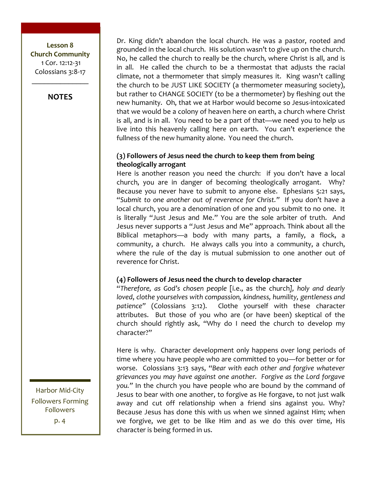Lesson 8 **Church Community** 1 Cor. 12:12-31 Colossians 3:8-17

**NOTES** 

Dr. King didn't abandon the local church. He was a pastor, rooted and grounded in the local church. His solution wasn't to give up on the church. No, he called the church to really be the church, where Christ is all, and is in all. He called the church to be a thermostat that adjusts the racial climate, not a thermometer that simply measures it. King wasn't calling the church to be JUST LIKE SOCIETY (a thermometer measuring society), but rather to CHANGE SOCIETY (to be a thermometer) by fleshing out the new humanity. Oh, that we at Harbor would become so Jesus-intoxicated that we would be a colony of heaven here on earth, a church where Christ is all, and is in all. You need to be a part of that—we need you to help us live into this heavenly calling here on earth. You can't experience the fullness of the new humanity alone. You need the church.

#### (3) Followers of Jesus need the church to keep them from being theologically arrogant

Here is another reason you need the church: if you don't have a local church, you are in danger of becoming theologically arrogant. Why? Because you never have to submit to anyone else. Ephesians 5:21 says, "Submit to one another out of reverence for Christ." If you don't have a local church, you are a denomination of one and you submit to no one. It is literally "Just Jesus and Me." You are the sole arbiter of truth. And Jesus never supports a "Just Jesus and Me" approach. Think about all the Biblical metaphors—a body with many parts, a family, a flock, a community, a church. He always calls you into a community, a church, where the rule of the day is mutual submission to one another out of reverence for Christ.

#### (4) Followers of Jesus need the church to develop character

"Therefore, as God's chosen people [i.e., as the church], holy and dearly loved, clothe yourselves with compassion, kindness, humility, gentleness and patience" (Colossians 3:12). Clothe yourself with these character attributes. But those of you who are (or have been) skeptical of the church should rightly ask, "Why do I need the church to develop my character?"

Here is why. Character development only happens over long periods of time where you have people who are committed to you-for better or for worse. Colossians 3:13 says, "Bear with each other and forgive whatever grievances you may have against one another. Forgive as the Lord forgave you." In the church you have people who are bound by the command of Jesus to bear with one another, to forgive as He forgave, to not just walk away and cut off relationship when a friend sins against you. Why? Because Jesus has done this with us when we sinned against Him; when we forgive, we get to be like Him and as we do this over time, His character is being formed in us.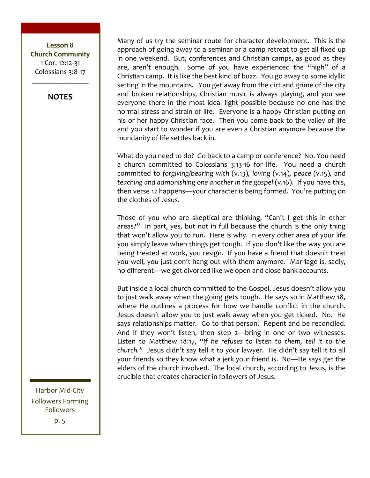Lesson 8 **Church!Community** 1 Cor. 12:12-31 Colossians 3:8-17

**NOTES**

 $\frac{1}{2}$ 

Many of us try the seminar route for character development. This is the approach of going away to a seminar or a camp retreat to get all fixed up in one weekend. But, conferences and Christian camps, as good as they are, aren't enough. Some of you have experienced the "high" of a Christian camp. It is like the best kind of buzz. You go away to some idyllic setting in the mountains. You get away from the dirt and grime of the city and broken relationships, Christian music is always playing, and you see everyone there in the most ideal light possible because no one has the normal stress and strain of life. Everyone is a happy Christian putting on his or her happy Christian face. Then you come back to the valley of life and you start to wonder if you are even a Christian anymore because the mundanity of life settles back in.

What do you need to do? Go back to a camp or conference? No. You need a church committed to Colossians 3:13-16 for life. You need a church committed to *forgiving/bearing with* (v.13), loving (v.14), peace (v.15), and *teaching and admonishing one another in the gospel* (v.16). If you have this, then verse 12 happens—your character is being formed. You're putting on the clothes of Jesus.

Those of you who are skeptical are thinking, "Can't I get this in other areas?" In part, yes, but not in full because the church is the only thing that won't allow you to run. Here is why. In every other area of your life you simply leave when things get tough. If you don't like the way you are being treated at work, you resign. If you have a friend that doesn't treat you well, you just don't hang out with them anymore. Marriage is, sadly, no different—we get divorced like we open and close bank accounts.

But inside a local church committed to the Gospel, Jesus doesn't allow you to just walk away when the going gets tough. He says so in Matthew 18, where He outlines a process for how we handle conflict in the church. Jesus doesn't allow you to just walk away when you get ticked. No. He says relationships matter. Go to that person. Repent and be reconciled. And if they won't listen, then step  $2$ —bring in one or two witnesses. Listen to Matthew 18:17, "If he refuses to listen to them, tell it to the *church."* Jesus didn't say tell it to your lawyer. He didn't say tell it to all your friends so they know what a jerk your friend is. No—He says get the elders of the church involved. The local church, according to Jesus, is the crucible that creates character in followers of Jesus.